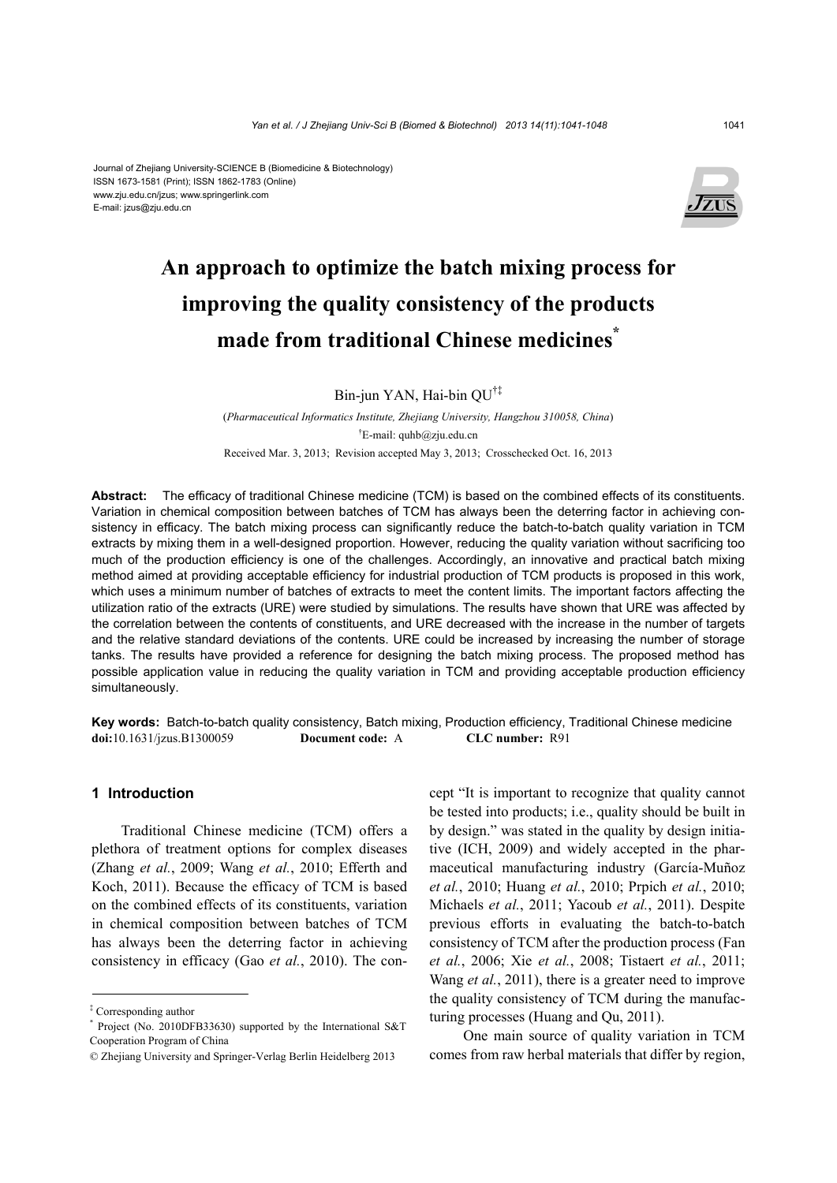#### Journal of Zhejiang University-SCIENCE B (Biomedicine & Biotechnology) ISSN 1673-1581 (Print); ISSN 1862-1783 (Online) www.zju.edu.cn/jzus; www.springerlink.com E-mail: jzus@zju.edu.cn



# **An approach to optimize the batch mixing process for improving the quality consistency of the products made from traditional Chinese medicines\***

Bin-jun YAN, Hai-bin OU<sup>†‡</sup>

(*Pharmaceutical Informatics Institute, Zhejiang University, Hangzhou 310058, China*) † E-mail: quhb@zju.edu.cn Received Mar. 3, 2013; Revision accepted May 3, 2013; Crosschecked Oct. 16, 2013

**Abstract:** The efficacy of traditional Chinese medicine (TCM) is based on the combined effects of its constituents. Variation in chemical composition between batches of TCM has always been the deterring factor in achieving consistency in efficacy. The batch mixing process can significantly reduce the batch-to-batch quality variation in TCM extracts by mixing them in a well-designed proportion. However, reducing the quality variation without sacrificing too much of the production efficiency is one of the challenges. Accordingly, an innovative and practical batch mixing method aimed at providing acceptable efficiency for industrial production of TCM products is proposed in this work, which uses a minimum number of batches of extracts to meet the content limits. The important factors affecting the utilization ratio of the extracts (URE) were studied by simulations. The results have shown that URE was affected by the correlation between the contents of constituents, and URE decreased with the increase in the number of targets and the relative standard deviations of the contents. URE could be increased by increasing the number of storage tanks. The results have provided a reference for designing the batch mixing process. The proposed method has possible application value in reducing the quality variation in TCM and providing acceptable production efficiency simultaneously.

**Key words:** Batch-to-batch quality consistency, Batch mixing, Production efficiency, Traditional Chinese medicine **doi:**10.1631/jzus.B1300059 **Document code:** A **CLC number:** R91

## **1 Introduction**

Traditional Chinese medicine (TCM) offers a plethora of treatment options for complex diseases (Zhang *et al.*, 2009; Wang *et al.*, 2010; Efferth and Koch, 2011). Because the efficacy of TCM is based on the combined effects of its constituents, variation in chemical composition between batches of TCM has always been the deterring factor in achieving consistency in efficacy (Gao *et al.*, 2010). The concept "It is important to recognize that quality cannot be tested into products; i.e., quality should be built in by design." was stated in the quality by design initiative (ICH, 2009) and widely accepted in the pharmaceutical manufacturing industry (García-Muñoz *et al.*, 2010; Huang *et al.*, 2010; Prpich *et al.*, 2010; Michaels *et al.*, 2011; Yacoub *et al.*, 2011). Despite previous efforts in evaluating the batch-to-batch consistency of TCM after the production process (Fan *et al.*, 2006; Xie *et al.*, 2008; Tistaert *et al.*, 2011; Wang *et al.*, 2011), there is a greater need to improve the quality consistency of TCM during the manufacturing processes (Huang and Qu, 2011).

One main source of quality variation in TCM comes from raw herbal materials that differ by region,

<sup>‡</sup> Corresponding author

<sup>\*</sup> Project (No. 2010DFB33630) supported by the International S&T Cooperation Program of China

<sup>©</sup> Zhejiang University and Springer-Verlag Berlin Heidelberg 2013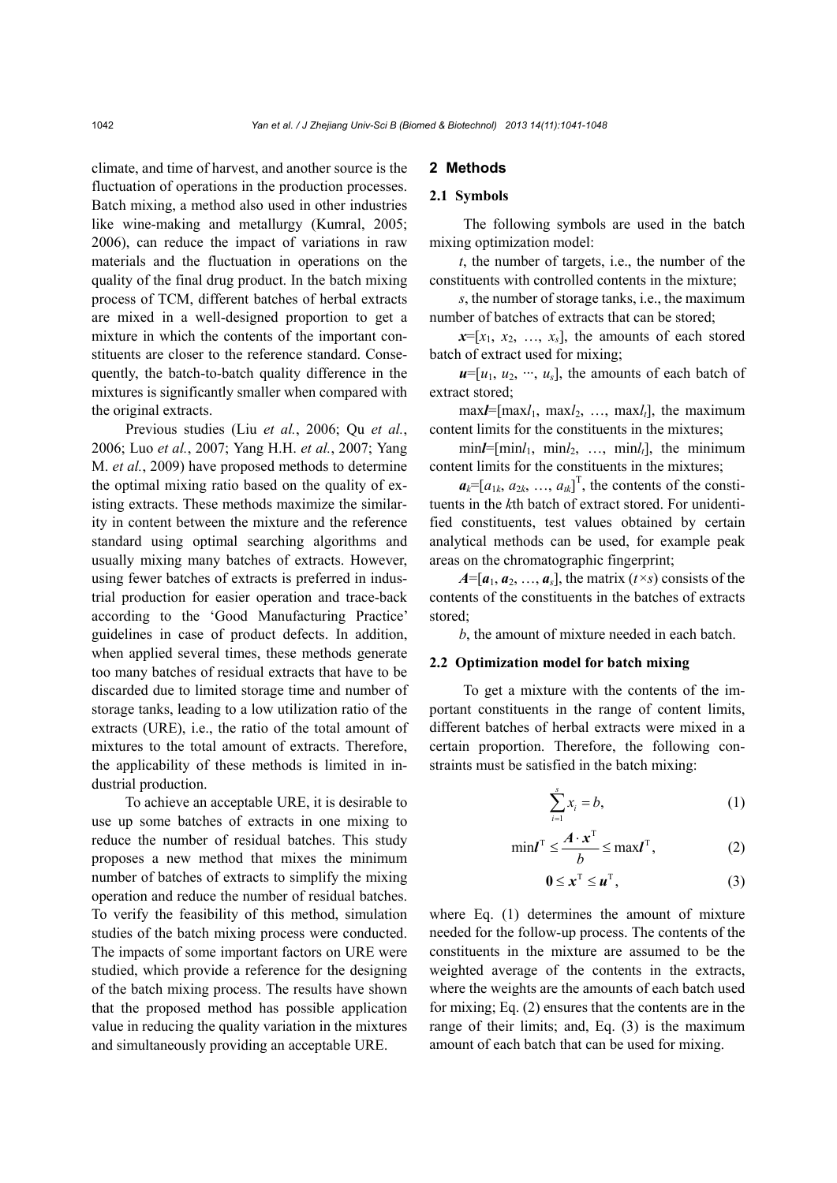climate, and time of harvest, and another source is the fluctuation of operations in the production processes. Batch mixing, a method also used in other industries like wine-making and metallurgy (Kumral, 2005; 2006), can reduce the impact of variations in raw materials and the fluctuation in operations on the quality of the final drug product. In the batch mixing process of TCM, different batches of herbal extracts are mixed in a well-designed proportion to get a mixture in which the contents of the important constituents are closer to the reference standard. Consequently, the batch-to-batch quality difference in the mixtures is significantly smaller when compared with the original extracts.

Previous studies (Liu *et al.*, 2006; Qu *et al.*, 2006; Luo *et al.*, 2007; Yang H.H. *et al.*, 2007; Yang M. *et al.*, 2009) have proposed methods to determine the optimal mixing ratio based on the quality of existing extracts. These methods maximize the similarity in content between the mixture and the reference standard using optimal searching algorithms and usually mixing many batches of extracts. However, using fewer batches of extracts is preferred in industrial production for easier operation and trace-back according to the 'Good Manufacturing Practice' guidelines in case of product defects. In addition, when applied several times, these methods generate too many batches of residual extracts that have to be discarded due to limited storage time and number of storage tanks, leading to a low utilization ratio of the extracts (URE), i.e., the ratio of the total amount of mixtures to the total amount of extracts. Therefore, the applicability of these methods is limited in industrial production.

To achieve an acceptable URE, it is desirable to use up some batches of extracts in one mixing to reduce the number of residual batches. This study proposes a new method that mixes the minimum number of batches of extracts to simplify the mixing operation and reduce the number of residual batches. To verify the feasibility of this method, simulation studies of the batch mixing process were conducted. The impacts of some important factors on URE were studied, which provide a reference for the designing of the batch mixing process. The results have shown that the proposed method has possible application value in reducing the quality variation in the mixtures and simultaneously providing an acceptable URE.

## **2 Methods**

## **2.1 Symbols**

The following symbols are used in the batch mixing optimization model:

*t*, the number of targets, i.e., the number of the constituents with controlled contents in the mixture;

*s*, the number of storage tanks, i.e., the maximum number of batches of extracts that can be stored;

 $x=[x_1, x_2, ..., x_s]$ , the amounts of each stored batch of extract used for mixing;

 $u=[u_1, u_2, \cdots, u_s]$ , the amounts of each batch of extract stored;

 $maxI=[maxI_1, maxI_2, ..., maxI_t]$ , the maximum content limits for the constituents in the mixtures;

 $minl = [minl_1, minl_2, ..., minl_l]$ , the minimum content limits for the constituents in the mixtures;

 $a_k = [a_{1k}, a_{2k}, \dots, a_{tk}]^\text{T}$ , the contents of the constituents in the *k*th batch of extract stored. For unidentified constituents, test values obtained by certain analytical methods can be used, for example peak areas on the chromatographic fingerprint;

 $A=[a_1, a_2, ..., a_s]$ , the matrix  $(t \times s)$  consists of the contents of the constituents in the batches of extracts stored;

*b*, the amount of mixture needed in each batch.

## **2.2 Optimization model for batch mixing**

To get a mixture with the contents of the important constituents in the range of content limits, different batches of herbal extracts were mixed in a certain proportion. Therefore, the following constraints must be satisfied in the batch mixing:

$$
\sum_{i=1}^{s} x_i = b,\tag{1}
$$

$$
\min I^{\mathrm{T}} \le \frac{A \cdot x^{\mathrm{T}}}{b} \le \max I^{\mathrm{T}},\tag{2}
$$

$$
0 \leq x^{\mathrm{T}} \leq u^{\mathrm{T}}, \tag{3}
$$

where Eq. (1) determines the amount of mixture needed for the follow-up process. The contents of the constituents in the mixture are assumed to be the weighted average of the contents in the extracts, where the weights are the amounts of each batch used for mixing; Eq. (2) ensures that the contents are in the range of their limits; and, Eq. (3) is the maximum amount of each batch that can be used for mixing.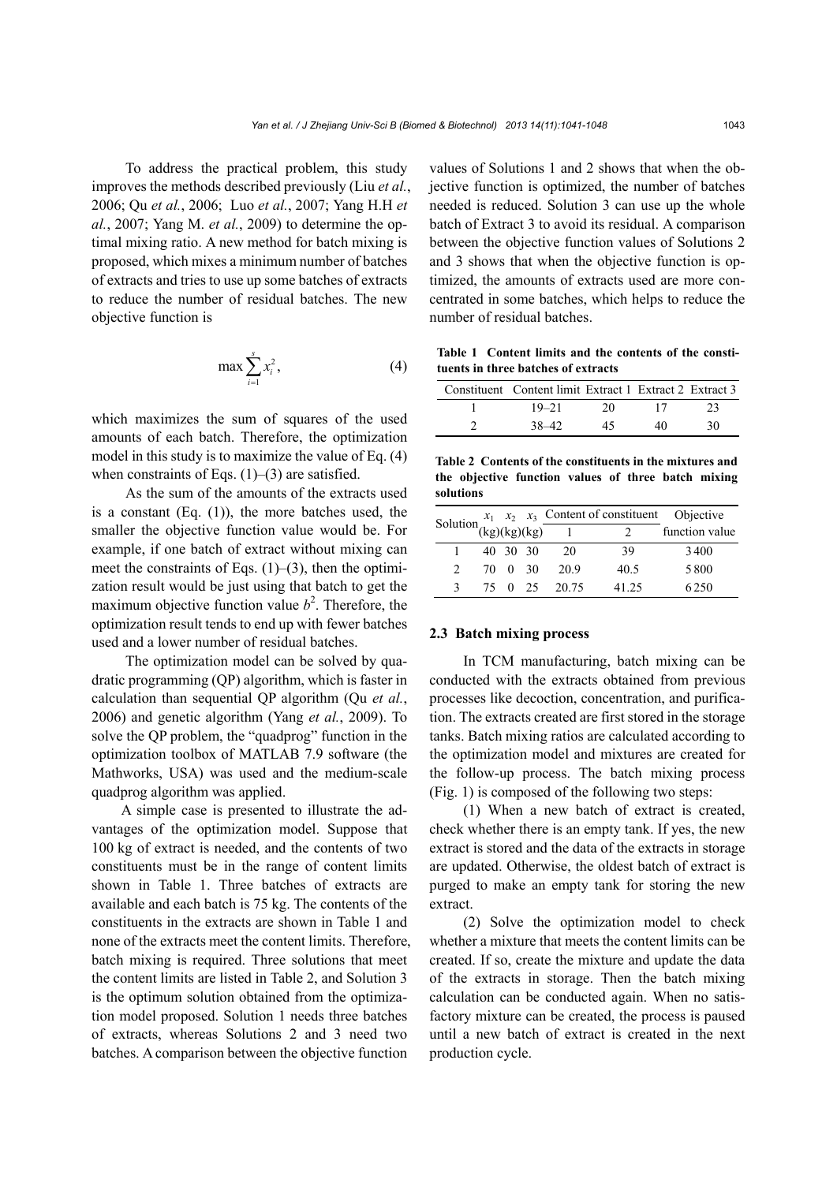To address the practical problem, this study improves the methods described previously (Liu *et al.*, 2006; Qu *et al.*, 2006; Luo *et al.*, 2007; Yang H.H *et al.*, 2007; Yang M. *et al.*, 2009) to determine the optimal mixing ratio. A new method for batch mixing is proposed, which mixes a minimum number of batches of extracts and tries to use up some batches of extracts to reduce the number of residual batches. The new objective function is

$$
\max \sum_{i=1}^{s} x_i^2, \tag{4}
$$

which maximizes the sum of squares of the used amounts of each batch. Therefore, the optimization model in this study is to maximize the value of Eq. (4) when constraints of Eqs.  $(1)$ – $(3)$  are satisfied.

As the sum of the amounts of the extracts used is a constant  $(Eq. (1))$ , the more batches used, the smaller the objective function value would be. For example, if one batch of extract without mixing can meet the constraints of Eqs.  $(1)$ – $(3)$ , then the optimization result would be just using that batch to get the maximum objective function value  $b^2$ . Therefore, the optimization result tends to end up with fewer batches used and a lower number of residual batches.

The optimization model can be solved by quadratic programming (QP) algorithm, which is faster in calculation than sequential QP algorithm (Qu *et al.*, 2006) and genetic algorithm (Yang *et al.*, 2009). To solve the QP problem, the "quadprog" function in the optimization toolbox of MATLAB 7.9 software (the Mathworks, USA) was used and the medium-scale quadprog algorithm was applied.

A simple case is presented to illustrate the advantages of the optimization model. Suppose that 100 kg of extract is needed, and the contents of two constituents must be in the range of content limits shown in Table 1. Three batches of extracts are available and each batch is 75 kg. The contents of the constituents in the extracts are shown in Table 1 and none of the extracts meet the content limits. Therefore, batch mixing is required. Three solutions that meet the content limits are listed in Table 2, and Solution 3 is the optimum solution obtained from the optimization model proposed. Solution 1 needs three batches of extracts, whereas Solutions 2 and 3 need two batches. A comparison between the objective function

values of Solutions 1 and 2 shows that when the objective function is optimized, the number of batches needed is reduced. Solution 3 can use up the whole batch of Extract 3 to avoid its residual. A comparison between the objective function values of Solutions 2 and 3 shows that when the objective function is optimized, the amounts of extracts used are more concentrated in some batches, which helps to reduce the number of residual batches.

**Table 1 Content limits and the contents of the constituents in three batches of extracts** 

| Constituent Content limit Extract 1 Extract 2 Extract 3 |     |     |    |
|---------------------------------------------------------|-----|-----|----|
| $19 - 21$                                               | 20  | -17 | 23 |
| 38 $-42$                                                | 45. | 40  | 30 |

**Table 2 Contents of the constituents in the mixtures and the objective function values of three batch mixing solutions** 

|  |          |       |       | Solution $\begin{array}{cc} x_1 & x_2 & x_3 \end{array}$ Content of constituent Objective<br>(kg)(kg)(kg) 1 2 function value<br>function value |  |
|--|----------|-------|-------|------------------------------------------------------------------------------------------------------------------------------------------------|--|
|  | 40 30 30 | 20    | 39    | 3400                                                                                                                                           |  |
|  | 70 0 30  | 20.9  | 40.5  | 5800                                                                                                                                           |  |
|  | 75 0 25  | 20.75 | 41 25 | 6250                                                                                                                                           |  |

## **2.3 Batch mixing process**

In TCM manufacturing, batch mixing can be conducted with the extracts obtained from previous processes like decoction, concentration, and purification. The extracts created are first stored in the storage tanks. Batch mixing ratios are calculated according to the optimization model and mixtures are created for the follow-up process. The batch mixing process (Fig. 1) is composed of the following two steps:

(1) When a new batch of extract is created, check whether there is an empty tank. If yes, the new extract is stored and the data of the extracts in storage are updated. Otherwise, the oldest batch of extract is purged to make an empty tank for storing the new extract.

(2) Solve the optimization model to check whether a mixture that meets the content limits can be created. If so, create the mixture and update the data of the extracts in storage. Then the batch mixing calculation can be conducted again. When no satisfactory mixture can be created, the process is paused until a new batch of extract is created in the next production cycle.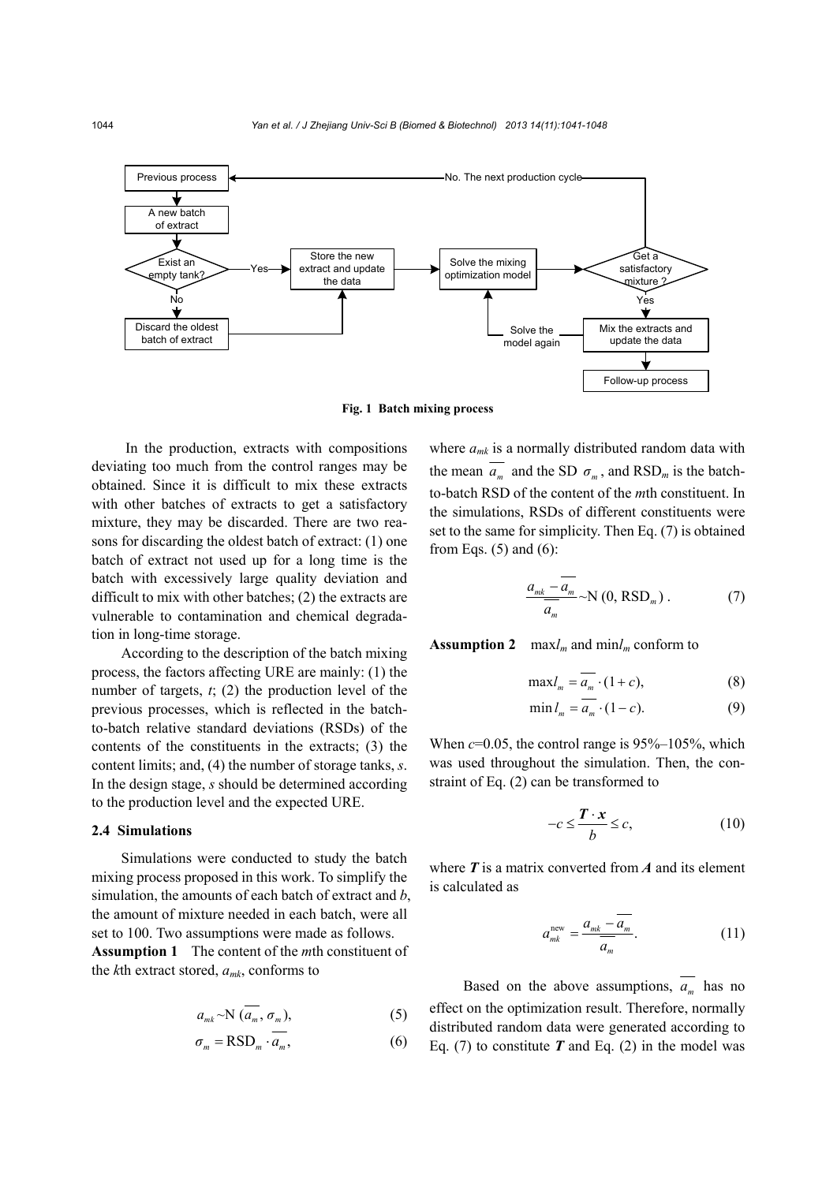

**Fig. 1 Batch mixing process**

In the production, extracts with compositions deviating too much from the control ranges may be obtained. Since it is difficult to mix these extracts with other batches of extracts to get a satisfactory mixture, they may be discarded. There are two reasons for discarding the oldest batch of extract: (1) one batch of extract not used up for a long time is the batch with excessively large quality deviation and difficult to mix with other batches; (2) the extracts are vulnerable to contamination and chemical degradation in long-time storage.

According to the description of the batch mixing process, the factors affecting URE are mainly: (1) the number of targets, *t*; (2) the production level of the previous processes, which is reflected in the batchto-batch relative standard deviations (RSDs) of the contents of the constituents in the extracts; (3) the content limits; and, (4) the number of storage tanks, *s*. In the design stage, *s* should be determined according to the production level and the expected URE.

## **2.4 Simulations**

Simulations were conducted to study the batch mixing process proposed in this work. To simplify the simulation, the amounts of each batch of extract and *b*, the amount of mixture needed in each batch, were all set to 100. Two assumptions were made as follows.

**Assumption 1** The content of the *m*th constituent of the *k*th extract stored, *amk*, conforms to

$$
a_{mk} \sim \mathcal{N}(\overline{a_m}, \sigma_m), \tag{5}
$$

$$
\sigma_m = \text{RSD}_m \cdot a_m,\tag{6}
$$

where *amk* is a normally distributed random data with the mean  $\overline{a_m}$  and the SD  $\sigma_m$ , and RSD<sub>m</sub> is the batchto-batch RSD of the content of the *m*th constituent. In the simulations, RSDs of different constituents were set to the same for simplicity. Then Eq. (7) is obtained from Eqs.  $(5)$  and  $(6)$ :

$$
\frac{a_{mk} - \overline{a_m}}{\overline{a_m}} \sim \mathcal{N}\left(0, \text{RSD}_m\right). \tag{7}
$$

**Assumption 2** max $l_m$  and min $l_m$  conform to

$$
\max l_m = \overline{a_m} \cdot (1 + c),\tag{8}
$$

$$
\min l_m = \overline{a_m} \cdot (1 - c). \tag{9}
$$

When  $c=0.05$ , the control range is 95%–105%, which was used throughout the simulation. Then, the constraint of Eq. (2) can be transformed to

$$
-c \le \frac{T \cdot x}{b} \le c,\tag{10}
$$

where *T* is a matrix converted from *A* and its element is calculated as

$$
a_{mk}^{\text{new}} = \frac{a_{mk} - \overline{a_m}}{\overline{a_m}}.
$$
 (11)

Based on the above assumptions,  $\overline{a_m}$  has no effect on the optimization result. Therefore, normally distributed random data were generated according to Eq. (7) to constitute  $T$  and Eq. (2) in the model was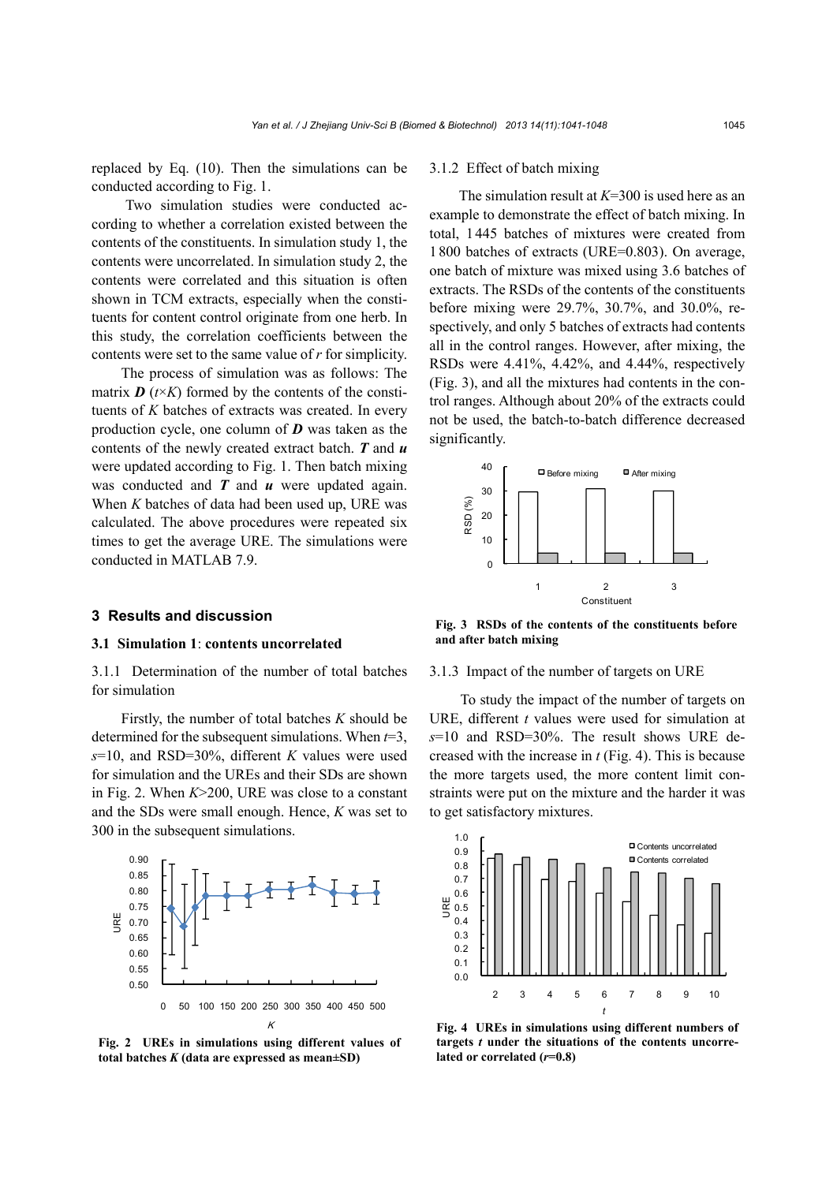replaced by Eq. (10). Then the simulations can be conducted according to Fig. 1.

Two simulation studies were conducted according to whether a correlation existed between the contents of the constituents. In simulation study 1, the contents were uncorrelated. In simulation study 2, the contents were correlated and this situation is often shown in TCM extracts, especially when the constituents for content control originate from one herb. In this study, the correlation coefficients between the contents were set to the same value of *r* for simplicity.

The process of simulation was as follows: The matrix  $\mathbf{D}$  ( $t \times K$ ) formed by the contents of the constituents of *K* batches of extracts was created. In every production cycle, one column of *D* was taken as the contents of the newly created extract batch. *T* and *u* were updated according to Fig. 1. Then batch mixing was conducted and *T* and *u* were updated again. When *K* batches of data had been used up, URE was calculated. The above procedures were repeated six times to get the average URE. The simulations were conducted in MATLAB 7.9.

## **3 Results and discussion**

## **3.1 Simulation 1**: **contents uncorrelated**

3.1.1 Determination of the number of total batches for simulation

Firstly, the number of total batches *K* should be determined for the subsequent simulations. When *t*=3,  $s=10$ , and RSD=30%, different *K* values were used for simulation and the UREs and their SDs are shown in Fig. 2. When *K*>200, URE was close to a constant and the SDs were small enough. Hence, *K* was set to 300 in the subsequent simulations.



**Fig. 2 UREs in simulations using different values of total batches** *K* **(data are expressed as mean±SD)** 

## 3.1.2 Effect of batch mixing

The simulation result at *K*=300 is used here as an example to demonstrate the effect of batch mixing. In total, 1445 batches of mixtures were created from 1800 batches of extracts (URE=0.803). On average, one batch of mixture was mixed using 3.6 batches of extracts. The RSDs of the contents of the constituents before mixing were 29.7%, 30.7%, and 30.0%, respectively, and only 5 batches of extracts had contents all in the control ranges. However, after mixing, the RSDs were 4.41%, 4.42%, and 4.44%, respectively (Fig. 3), and all the mixtures had contents in the control ranges. Although about 20% of the extracts could not be used, the batch-to-batch difference decreased significantly.



**Fig. 3 RSDs of the contents of the constituents before and after batch mixing**

## 3.1.3 Impact of the number of targets on URE

To study the impact of the number of targets on URE, different *t* values were used for simulation at *s*=10 and RSD=30%. The result shows URE decreased with the increase in *t* (Fig. 4). This is because the more targets used, the more content limit constraints were put on the mixture and the harder it was to get satisfactory mixtures.



<sup>K</sup> **Fig. 4 UREs in simulations using different numbers of targets** *t* **under the situations of the contents uncorrelated or correlated (***r***=0.8)**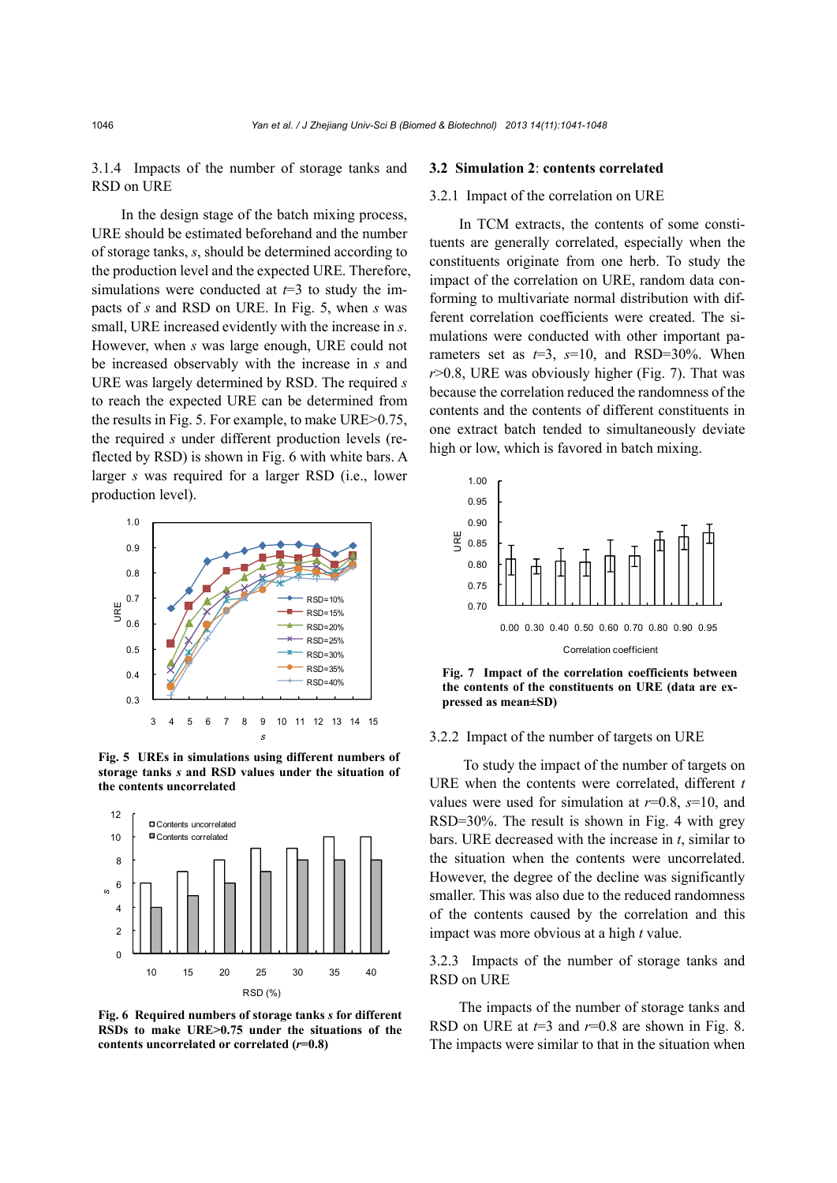3.1.4 Impacts of the number of storage tanks and RSD on URE

In the design stage of the batch mixing process, URE should be estimated beforehand and the number of storage tanks, *s*, should be determined according to the production level and the expected URE. Therefore, simulations were conducted at  $t=3$  to study the impacts of *s* and RSD on URE. In Fig. 5, when *s* was small, URE increased evidently with the increase in *s*. However, when *s* was large enough, URE could not be increased observably with the increase in *s* and URE was largely determined by RSD. The required *s* to reach the expected URE can be determined from the results in Fig. 5. For example, to make URE>0.75, the required *s* under different production levels (reflected by RSD) is shown in Fig. 6 with white bars. A larger *s* was required for a larger RSD (i.e., lower production level).



**Fig. 5 UREs in simulations using different numbers of storage tanks** *s* **and RSD values under the situation of the contents uncorrelated**



**Fig. 6 Required numbers of storage tanks** *s* **for different RSDs to make URE>0.75 under the situations of the contents uncorrelated or correlated (***r***=0.8)**

#### **3.2 Simulation 2**: **contents correlated**

### 3.2.1 Impact of the correlation on URE

In TCM extracts, the contents of some constituents are generally correlated, especially when the constituents originate from one herb. To study the impact of the correlation on URE, random data conforming to multivariate normal distribution with different correlation coefficients were created. The simulations were conducted with other important parameters set as  $t=3$ ,  $s=10$ , and RSD=30%. When *r*>0.8, URE was obviously higher (Fig. 7). That was because the correlation reduced the randomness of the contents and the contents of different constituents in one extract batch tended to simultaneously deviate high or low, which is favored in batch mixing.





#### 3.2.2 Impact of the number of targets on URE

To study the impact of the number of targets on URE when the contents were correlated, different *t* values were used for simulation at *r*=0.8, *s*=10, and RSD=30%. The result is shown in Fig. 4 with grey bars. URE decreased with the increase in *t*, similar to the situation when the contents were uncorrelated. However, the degree of the decline was significantly smaller. This was also due to the reduced randomness of the contents caused by the correlation and this impact was more obvious at a high *t* value.

3.2.3 Impacts of the number of storage tanks and RSD on URE

The impacts of the number of storage tanks and RSD on URE at  $t=3$  and  $r=0.8$  are shown in Fig. 8. The impacts were similar to that in the situation when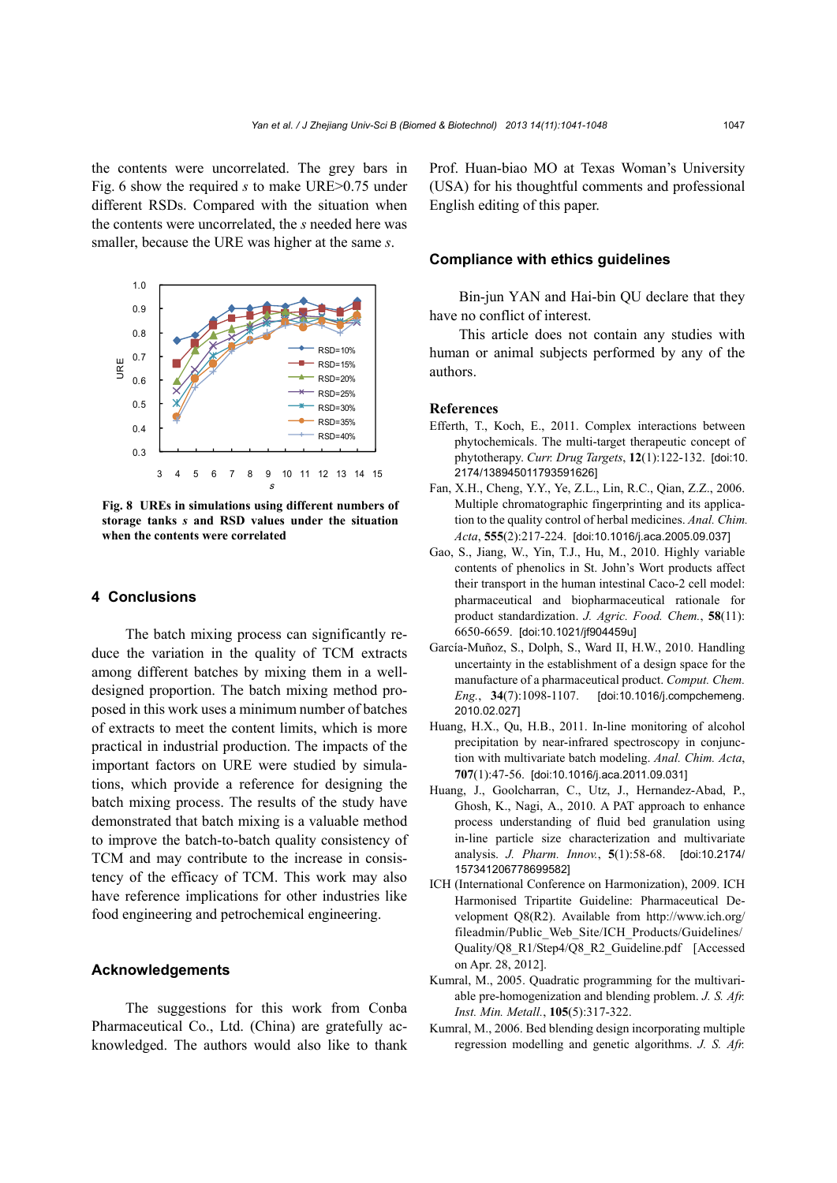the contents were uncorrelated. The grey bars in Fig. 6 show the required *s* to make URE>0.75 under different RSDs. Compared with the situation when the contents were uncorrelated, the *s* needed here was smaller, because the URE was higher at the same *s*.



**Fig. 8 UREs in simulations using different numbers of storage tanks** *s* **and RSD values under the situation when the contents were correlated**

## **4 Conclusions**

The batch mixing process can significantly reduce the variation in the quality of TCM extracts among different batches by mixing them in a welldesigned proportion. The batch mixing method proposed in this work uses a minimum number of batches of extracts to meet the content limits, which is more practical in industrial production. The impacts of the important factors on URE were studied by simulations, which provide a reference for designing the batch mixing process. The results of the study have demonstrated that batch mixing is a valuable method to improve the batch-to-batch quality consistency of TCM and may contribute to the increase in consistency of the efficacy of TCM. This work may also have reference implications for other industries like food engineering and petrochemical engineering.

## **Acknowledgements**

The suggestions for this work from Conba Pharmaceutical Co., Ltd. (China) are gratefully acknowledged. The authors would also like to thank Prof. Huan-biao MO at Texas Woman's University (USA) for his thoughtful comments and professional English editing of this paper.

## **Compliance with ethics guidelines**

Bin-jun YAN and Hai-bin QU declare that they have no conflict of interest.

This article does not contain any studies with human or animal subjects performed by any of the authors.

## **References**

- Efferth, T., Koch, E., 2011. Complex interactions between phytochemicals. The multi-target therapeutic concept of phytotherapy. *Curr. Drug Targets*, **12**(1):122-132. [doi:10. 2174/138945011793591626]
- Fan, X.H., Cheng, Y.Y., Ye, Z.L., Lin, R.C., Qian, Z.Z., 2006. Multiple chromatographic fingerprinting and its application to the quality control of herbal medicines. *Anal. Chim. Acta*, **555**(2):217-224. [doi:10.1016/j.aca.2005.09.037]
- Gao, S., Jiang, W., Yin, T.J., Hu, M., 2010. Highly variable contents of phenolics in St. John's Wort products affect their transport in the human intestinal Caco-2 cell model: pharmaceutical and biopharmaceutical rationale for product standardization. *J. Agric. Food. Chem.*, **58**(11): 6650-6659. [doi:10.1021/jf904459u]
- García-Muñoz, S., Dolph, S., Ward II, H.W., 2010. Handling uncertainty in the establishment of a design space for the manufacture of a pharmaceutical product. *Comput. Chem. Eng.*, **34**(7):1098-1107. [doi:10.1016/j.compchemeng. 2010.02.027]
- Huang, H.X., Qu, H.B., 2011. In-line monitoring of alcohol precipitation by near-infrared spectroscopy in conjunction with multivariate batch modeling. *Anal. Chim. Acta*, **707**(1):47-56. [doi:10.1016/j.aca.2011.09.031]
- Huang, J., Goolcharran, C., Utz, J., Hernandez-Abad, P., Ghosh, K., Nagi, A., 2010. A PAT approach to enhance process understanding of fluid bed granulation using in-line particle size characterization and multivariate analysis. *J. Pharm. Innov.*, **5**(1):58-68. [doi:10.2174/ 157341206778699582]
- ICH (International Conference on Harmonization), 2009. ICH Harmonised Tripartite Guideline: Pharmaceutical Development Q8(R2). Available from http://www.ich.org/ fileadmin/Public\_Web\_Site/ICH\_Products/Guidelines/ Quality/Q8\_R1/Step4/Q8\_R2\_Guideline.pdf [Accessed on Apr. 28, 2012].
- Kumral, M., 2005. Quadratic programming for the multivariable pre-homogenization and blending problem. *J. S. Afr. Inst. Min. Metall.*, **105**(5):317-322.
- Kumral, M., 2006. Bed blending design incorporating multiple regression modelling and genetic algorithms. *J. S. Afr.*